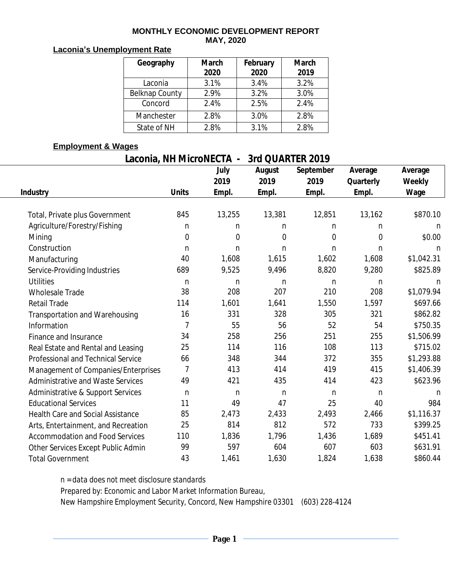#### **MONTHLY ECONOMIC DEVELOPMENT REPORT MAY, 2020**

# **Laconia's Unemployment Rate**

| Geography             | <b>March</b><br>2020 | February<br>2020 | <b>March</b><br>2019 |
|-----------------------|----------------------|------------------|----------------------|
| Laconia               | 3.1%                 | 3.4%             | 3.2%                 |
| <b>Belknap County</b> | 2.9%                 | 3.2%             | 3.0%                 |
| Concord               | 2.4%                 | 2.5%             | 2.4%                 |
| Manchester            | 2.8%                 | 3.0%             | 2.8%                 |
| State of NH           | 2.8%                 | 3.1%             | 2.8%                 |

## **Employment & Wages**

|  | Laconia, NH MicroNECTA - 3rd QUARTER 2019 |
|--|-------------------------------------------|
|  |                                           |

|                                        |                | July   | August       | September | Average        | Average    |
|----------------------------------------|----------------|--------|--------------|-----------|----------------|------------|
|                                        |                | 2019   | 2019         | 2019      | Quarterly      | Weekly     |
| <b>Industry</b>                        | <b>Units</b>   | Empl.  | Empl.        | Empl.     | Empl.          | Wage       |
| Total, Private plus Government         | 845            | 13,255 | 13,381       | 12,851    | 13,162         | \$870.10   |
| Agriculture/Forestry/Fishing           | n              | n      | n            | n         | n              | n          |
| Mining                                 | $\mathbf 0$    | 0      | 0            | 0         | $\overline{0}$ | \$0.00     |
| Construction                           | n              | n      | n            | n         | n              | n          |
| Manufacturing                          | 40             | 1,608  | 1,615        | 1,602     | 1,608          | \$1,042.31 |
| Service-Providing Industries           | 689            | 9,525  | 9,496        | 8,820     | 9,280          | \$825.89   |
| <b>Utilities</b>                       | n              | n      | n            | n         | $\mathsf{n}$   | n          |
| <b>Wholesale Trade</b>                 | 38             | 208    | 207          | 210       | 208            | \$1,079.94 |
| <b>Retail Trade</b>                    | 114            | 1,601  | 1,641        | 1,550     | 1,597          | \$697.66   |
| Transportation and Warehousing         | 16             | 331    | 328          | 305       | 321            | \$862.82   |
| Information                            | $\overline{7}$ | 55     | 56           | 52        | 54             | \$750.35   |
| Finance and Insurance                  | 34             | 258    | 256          | 251       | 255            | \$1,506.99 |
| Real Estate and Rental and Leasing     | 25             | 114    | 116          | 108       | 113            | \$715.02   |
| Professional and Technical Service     | 66             | 348    | 344          | 372       | 355            | \$1,293.88 |
| Management of Companies/Enterprises    | $\overline{7}$ | 413    | 414          | 419       | 415            | \$1,406.39 |
| Administrative and Waste Services      | 49             | 421    | 435          | 414       | 423            | \$623.96   |
| Administrative & Support Services      | n              | n      | $\mathsf{n}$ | n         | $\mathsf{n}$   | n          |
| <b>Educational Services</b>            | 11             | 49     | 47           | 25        | 40             | 984        |
| Health Care and Social Assistance      | 85             | 2,473  | 2,433        | 2,493     | 2,466          | \$1,116.37 |
| Arts, Entertainment, and Recreation    | 25             | 814    | 812          | 572       | 733            | \$399.25   |
| <b>Accommodation and Food Services</b> | 110            | 1,836  | 1,796        | 1,436     | 1,689          | \$451.41   |
| Other Services Except Public Admin     | 99             | 597    | 604          | 607       | 603            | \$631.91   |
| <b>Total Government</b>                | 43             | 1,461  | 1,630        | 1,824     | 1,638          | \$860.44   |

*n = data does not meet disclosure standards Prepared by: Economic and Labor Market Information Bureau, New Hampshire Employment Security, Concord, New Hampshire 03301 (603) 228-4124*